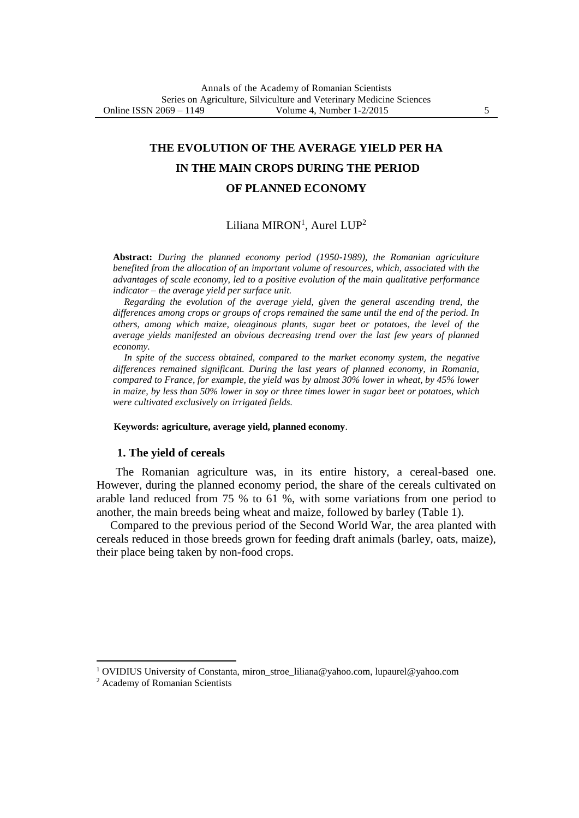# **THE EVOLUTION OF THE AVERAGE YIELD PER HA IN THE MAIN CROPS DURING THE PERIOD OF PLANNED ECONOMY**

# $Liliana MIRON<sup>1</sup>$ , Aurel  $LUP<sup>2</sup>$

**Abstract:** *During the planned economy period (1950-1989), the Romanian agriculture benefited from the allocation of an important volume of resources, which, associated with the advantages of scale economy, led to a positive evolution of the main qualitative performance indicator – the average yield per surface unit.*

*Regarding the evolution of the average yield, given the general ascending trend, the differences among crops or groups of crops remained the same until the end of the period. In others, among which maize, oleaginous plants, sugar beet or potatoes, the level of the average yields manifested an obvious decreasing trend over the last few years of planned economy.*

In spite of the success obtained, compared to the market economy system, the negative *differences remained significant. During the last years of planned economy, in Romania, compared to France, for example, the yield was by almost 30% lower in wheat, by 45% lower in maize, by less than 50% lower in soy or three times lower in sugar beet or potatoes, which were cultivated exclusively on irrigated fields.*

#### **Keywords: agriculture, average yield, planned economy**.

#### **1. The yield of cereals**

The Romanian agriculture was, in its entire history, a cereal-based one. However, during the planned economy period, the share of the cereals cultivated on arable land reduced from 75 % to 61 %, with some variations from one period to another, the main breeds being wheat and maize, followed by barley (Table 1).

Compared to the previous period of the Second World War, the area planted with cereals reduced in those breeds grown for feeding draft animals (barley, oats, maize), their place being taken by non-food crops.

 $\overline{a}$ 

<sup>1</sup> OVIDIUS University of Constanta, miron\_stroe\_liliana@yahoo.com, lupaurel@yahoo.com

<sup>2</sup> Academy of Romanian Scientists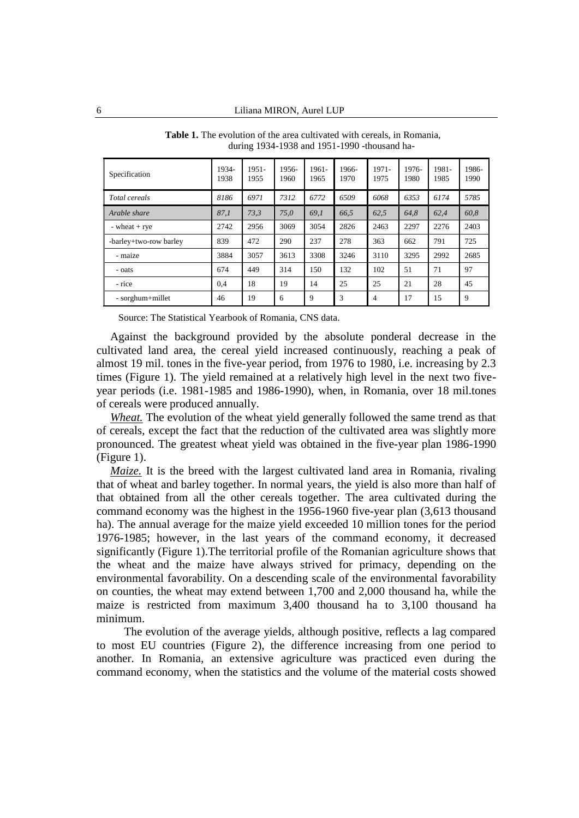| Specification          | 1934-<br>1938 | $1951 -$<br>1955 | 1956-<br>1960 | $1961 -$<br>1965 | 1966-<br>1970 | $1971 -$<br>1975 | 1976-<br>1980 | 1981-<br>1985 | 1986-<br>1990 |
|------------------------|---------------|------------------|---------------|------------------|---------------|------------------|---------------|---------------|---------------|
| Total cereals          | 8186          | 6971             | 7312          | 6772             | 6509          | 6068             | 6353          | 6174          | 5785          |
| Arable share           | 87.1          | 73.3             | 75.0          | 69.1             | 66.5          | 62.5             | 64.8          | 62.4          | 60,8          |
| $-$ wheat $+$ rye      | 2742          | 2956             | 3069          | 3054             | 2826          | 2463             | 2297          | 2276          | 2403          |
| -barley+two-row barley | 839           | 472              | 290           | 237              | 278           | 363              | 662           | 791           | 725           |
| - maize                | 3884          | 3057             | 3613          | 3308             | 3246          | 3110             | 3295          | 2992          | 2685          |
| - oats                 | 674           | 449              | 314           | 150              | 132           | 102              | 51            | 71            | 97            |
| - rice                 | 0.4           | 18               | 19            | 14               | 25            | 25               | 21            | 28            | 45            |
| - sorghum+millet       | 46            | 19               | 6             | 9                | 3             | 4                | 17            | 15            | 9             |

**Table 1.** The evolution of the area cultivated with cereals, in Romania, during 1934-1938 and 1951-1990 -thousand ha-

Source: The Statistical Yearbook of Romania, CNS data.

Against the background provided by the absolute ponderal decrease in the cultivated land area, the cereal yield increased continuously, reaching a peak of almost 19 mil. tones in the five-year period, from 1976 to 1980, i.e. increasing by 2.3 times (Figure 1). The yield remained at a relatively high level in the next two fiveyear periods (i.e. 1981-1985 and 1986-1990), when, in Romania, over 18 mil.tones of cereals were produced annually.

*Wheat.* The evolution of the wheat yield generally followed the same trend as that of cereals, except the fact that the reduction of the cultivated area was slightly more pronounced. The greatest wheat yield was obtained in the five-year plan 1986-1990 (Figure 1).

*Maize.* It is the breed with the largest cultivated land area in Romania, rivaling that of wheat and barley together. In normal years, the yield is also more than half of that obtained from all the other cereals together. The area cultivated during the command economy was the highest in the 1956-1960 five-year plan (3,613 thousand ha). The annual average for the maize yield exceeded 10 million tones for the period 1976-1985; however, in the last years of the command economy, it decreased significantly (Figure 1).The territorial profile of the Romanian agriculture shows that the wheat and the maize have always strived for primacy, depending on the environmental favorability. On a descending scale of the environmental favorability on counties, the wheat may extend between 1,700 and 2,000 thousand ha, while the maize is restricted from maximum 3,400 thousand ha to 3,100 thousand ha minimum.

The evolution of the average yields, although positive, reflects a lag compared to most EU countries (Figure 2), the difference increasing from one period to another. In Romania, an extensive agriculture was practiced even during the command economy, when the statistics and the volume of the material costs showed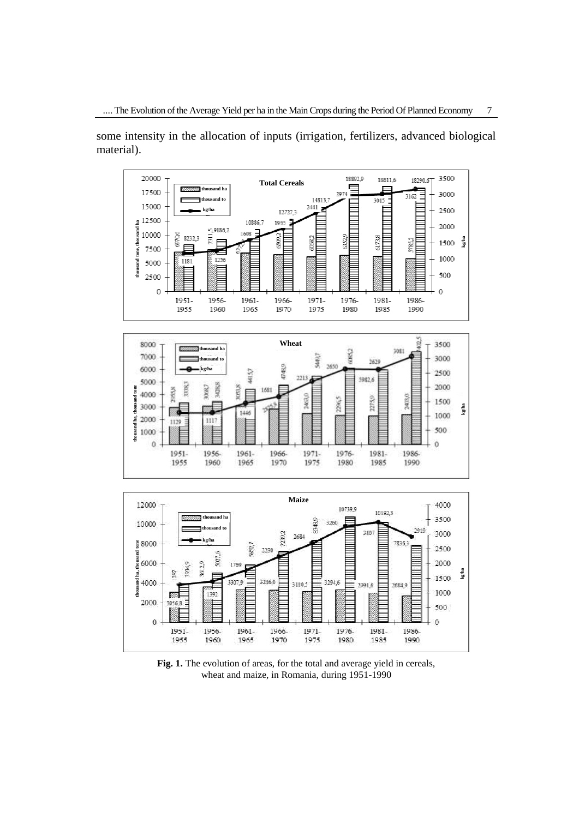some intensity in the allocation of inputs (irrigation, fertilizers, advanced biological material).



**Fig. 1.** The evolution of areas, for the total and average yield in cereals, wheat and maize, in Romania, during 1951-1990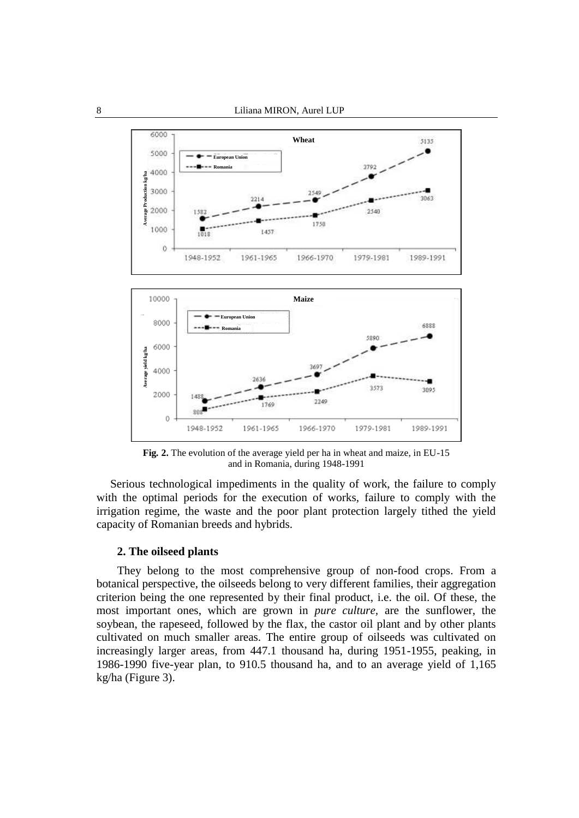

**Fig***.* **2.** The evolution of the average yield per ha in wheat and maize, in EU-15 and in Romania, during 1948-1991

Serious technological impediments in the quality of work, the failure to comply with the optimal periods for the execution of works, failure to comply with the irrigation regime, the waste and the poor plant protection largely tithed the yield capacity of Romanian breeds and hybrids.

#### **2. The oilseed plants**

They belong to the most comprehensive group of non-food crops. From a botanical perspective, the oilseeds belong to very different families, their aggregation criterion being the one represented by their final product, i.e. the oil. Of these, the most important ones, which are grown in *pure culture,* are the sunflower, the soybean, the rapeseed, followed by the flax, the castor oil plant and by other plants cultivated on much smaller areas. The entire group of oilseeds was cultivated on increasingly larger areas, from 447.1 thousand ha, during 1951-1955, peaking, in 1986-1990 five-year plan, to 910.5 thousand ha, and to an average yield of 1,165 kg/ha (Figure 3).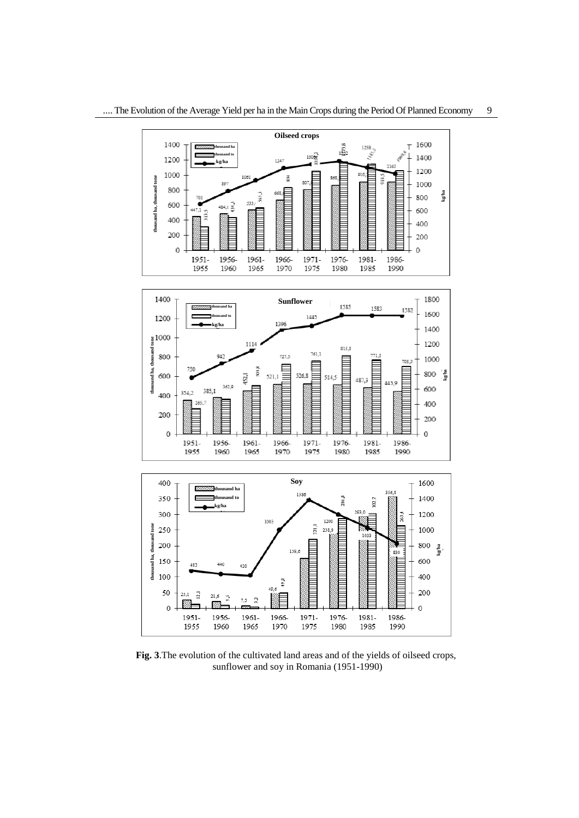

**Fig. 3**.The evolution of the cultivated land areas and of the yields of oilseed crops, sunflower and soy in Romania (1951-1990)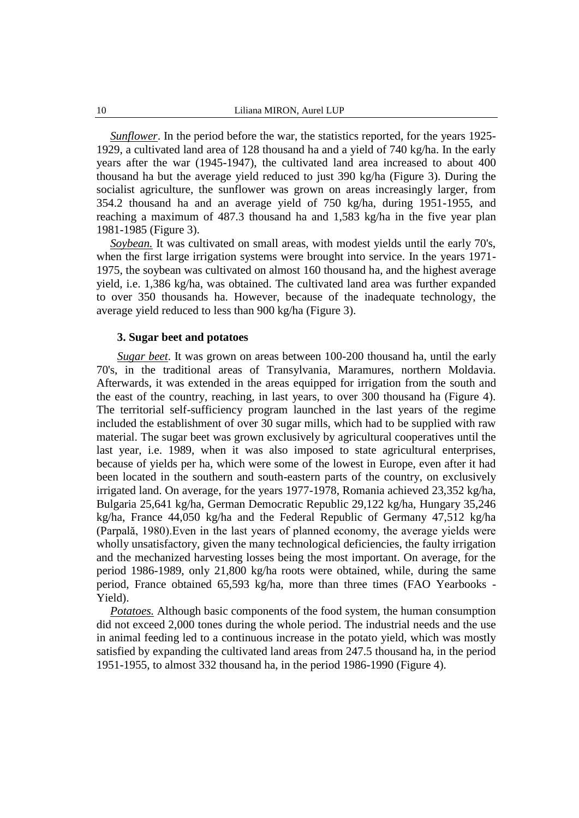*Sunflower*. In the period before the war, the statistics reported, for the years 1925- 1929, a cultivated land area of 128 thousand ha and a yield of 740 kg/ha. In the early years after the war (1945-1947), the cultivated land area increased to about 400 thousand ha but the average yield reduced to just 390 kg/ha (Figure 3). During the socialist agriculture, the sunflower was grown on areas increasingly larger, from 354.2 thousand ha and an average yield of 750 kg/ha, during 1951-1955, and reaching a maximum of 487.3 thousand ha and 1,583 kg/ha in the five year plan 1981-1985 (Figure 3).

*Soybean.* It was cultivated on small areas, with modest yields until the early 70's, when the first large irrigation systems were brought into service. In the years 1971- 1975, the soybean was cultivated on almost 160 thousand ha, and the highest average yield, i.e. 1,386 kg/ha, was obtained. The cultivated land area was further expanded to over 350 thousands ha. However, because of the inadequate technology, the average yield reduced to less than 900 kg/ha (Figure 3).

#### **3. Sugar beet and potatoes**

*Sugar beet*. It was grown on areas between 100-200 thousand ha, until the early 70's, in the traditional areas of Transylvania, Maramures, northern Moldavia. Afterwards, it was extended in the areas equipped for irrigation from the south and the east of the country, reaching, in last years, to over 300 thousand ha (Figure 4). The territorial self-sufficiency program launched in the last years of the regime included the establishment of over 30 sugar mills, which had to be supplied with raw material. The sugar beet was grown exclusively by agricultural cooperatives until the last year, i.e. 1989, when it was also imposed to state agricultural enterprises, because of yields per ha, which were some of the lowest in Europe, even after it had been located in the southern and south-eastern parts of the country, on exclusively irrigated land. On average, for the years 1977-1978, Romania achieved 23,352 kg/ha, Bulgaria 25,641 kg/ha, German Democratic Republic 29,122 kg/ha, Hungary 35,246 kg/ha, France 44,050 kg/ha and the Federal Republic of Germany 47,512 kg/ha (Parpală, 1980).Even in the last years of planned economy, the average yields were wholly unsatisfactory, given the many technological deficiencies, the faulty irrigation and the mechanized harvesting losses being the most important. On average, for the period 1986-1989, only 21,800 kg/ha roots were obtained, while, during the same period, France obtained 65,593 kg/ha, more than three times (FAO Yearbooks - Yield).

*Potatoes.* Although basic components of the food system, the human consumption did not exceed 2,000 tones during the whole period. The industrial needs and the use in animal feeding led to a continuous increase in the potato yield, which was mostly satisfied by expanding the cultivated land areas from 247.5 thousand ha, in the period 1951-1955, to almost 332 thousand ha, in the period 1986-1990 (Figure 4).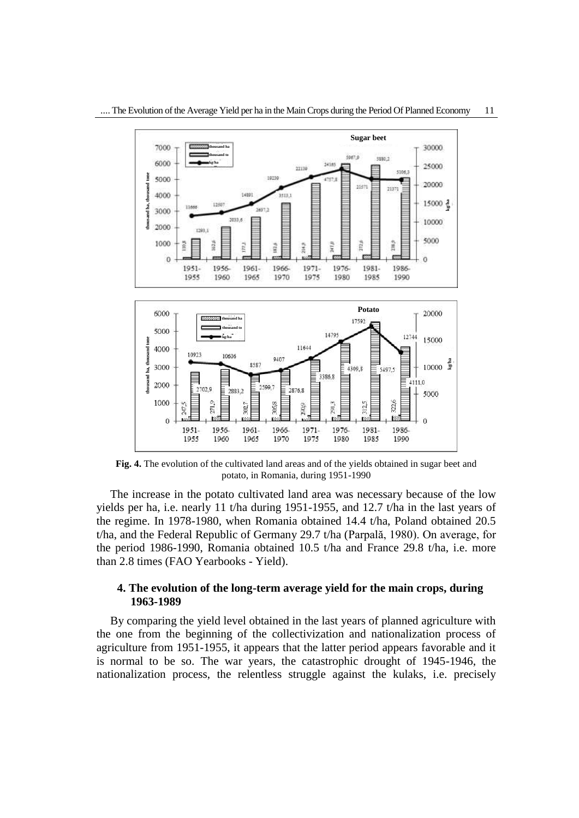

**Fig. 4.** The evolution of the cultivated land areas and of the yields obtained in sugar beet and potato, in Romania, during 1951-1990

The increase in the potato cultivated land area was necessary because of the low yields per ha, i.e. nearly 11 t/ha during 1951-1955, and 12.7 t/ha in the last years of the regime. In 1978-1980, when Romania obtained 14.4 t/ha, Poland obtained 20.5 t/ha, and the Federal Republic of Germany 29.7 t/ha (Parpală, 1980). On average, for the period 1986-1990, Romania obtained 10.5 t/ha and France 29.8 t/ha, i.e. more than 2.8 times (FAO Yearbooks - Yield).

#### **4. The evolution of the long-term average yield for the main crops, during 1963-1989**

By comparing the yield level obtained in the last years of planned agriculture with the one from the beginning of the collectivization and nationalization process of agriculture from 1951-1955, it appears that the latter period appears favorable and it is normal to be so. The war years, the catastrophic drought of 1945-1946, the nationalization process, the relentless struggle against the kulaks, i.e. precisely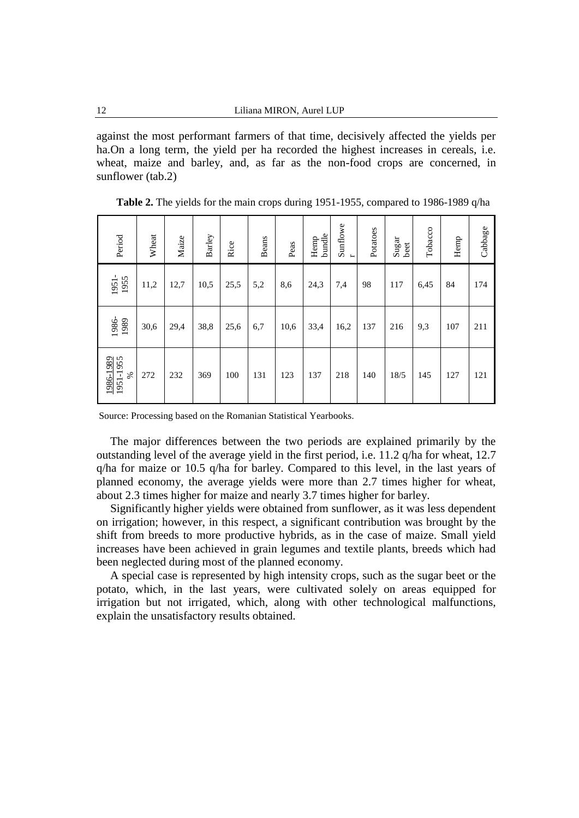against the most performant farmers of that time, decisively affected the yields per ha.On a long term, the yield per ha recorded the highest increases in cereals, i.e. wheat, maize and barley, and, as far as the non-food crops are concerned, in sunflower (tab.2)

| Period<br>1951-             | Wheat<br>11,2 | Maize<br>12,7 | Barley<br>10,5 | Rice<br>25,5 | <b>Beans</b><br>5,2 | Peas<br>8,6 | bundle<br>Hemp<br>24,3 | Sunflowe<br>7,4 | Potatoes<br>98 | $\operatorname{Sugar}$<br>beet<br>117 | Tobacco<br>6,45 | Hemp<br>84 |            |
|-----------------------------|---------------|---------------|----------------|--------------|---------------------|-------------|------------------------|-----------------|----------------|---------------------------------------|-----------------|------------|------------|
| 1986-<br>1989               | 30,6          | 29,4          | 38,8           | 25,6         | 6,7                 | 10,6        | 33,4                   | 16,2            | 137            | 216                                   | 9,3             | 107        | 174<br>211 |
| 1986-1989<br>1951-1955<br>℅ | 272           | 232           | 369            | 100          | 131                 | 123         | 137                    | 218             | 140            | 18/5                                  | 145             | 127        | 121        |

**Table 2.** The yields for the main crops during 1951-1955, compared to 1986-1989 q/ha

Source: Processing based on the Romanian Statistical Yearbooks.

The major differences between the two periods are explained primarily by the outstanding level of the average yield in the first period, i.e. 11.2 q/ha for wheat, 12.7 q/ha for maize or 10.5 q/ha for barley. Compared to this level, in the last years of planned economy, the average yields were more than 2.7 times higher for wheat, about 2.3 times higher for maize and nearly 3.7 times higher for barley.

Significantly higher yields were obtained from sunflower, as it was less dependent on irrigation; however, in this respect, a significant contribution was brought by the shift from breeds to more productive hybrids, as in the case of maize. Small yield increases have been achieved in grain legumes and textile plants, breeds which had been neglected during most of the planned economy.

A special case is represented by high intensity crops, such as the sugar beet or the potato, which, in the last years, were cultivated solely on areas equipped for irrigation but not irrigated, which, along with other technological malfunctions, explain the unsatisfactory results obtained.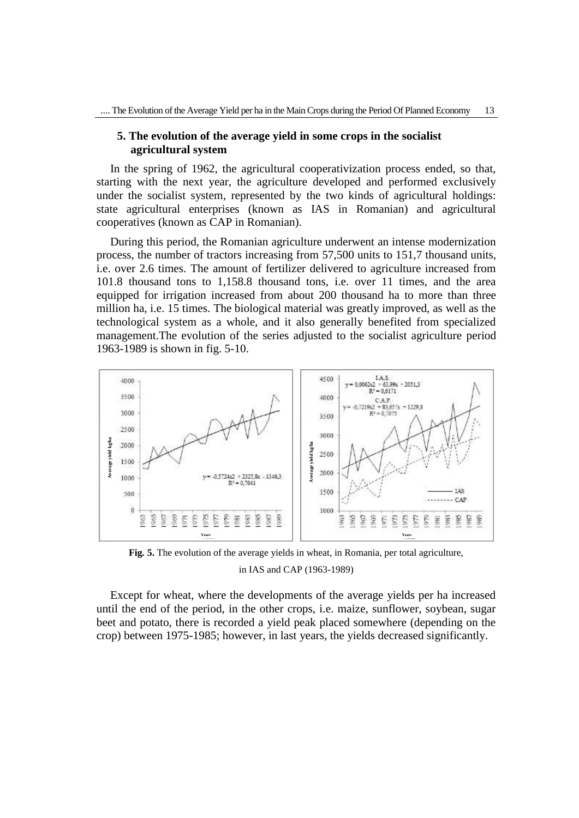### **5. The evolution of the average yield in some crops in the socialist agricultural system**

In the spring of 1962, the agricultural cooperativization process ended, so that, starting with the next year, the agriculture developed and performed exclusively under the socialist system, represented by the two kinds of agricultural holdings: state agricultural enterprises (known as IAS in Romanian) and agricultural cooperatives (known as CAP in Romanian).

During this period, the Romanian agriculture underwent an intense modernization process, the number of tractors increasing from 57,500 units to 151,7 thousand units, i.e. over 2.6 times. The amount of fertilizer delivered to agriculture increased from 101.8 thousand tons to 1,158.8 thousand tons, i.e. over 11 times, and the area equipped for irrigation increased from about 200 thousand ha to more than three million ha, i.e. 15 times. The biological material was greatly improved, as well as the technological system as a whole, and it also generally benefited from specialized management.The evolution of the series adjusted to the socialist agriculture period 1963-1989 is shown in fig. 5-10.



**Fig***.* **5.** The evolution of the average yields in wheat, in Romania, per total agriculture,

in IAS and CAP (1963-1989)

Except for wheat, where the developments of the average yields per ha increased until the end of the period, in the other crops, i.e. maize, sunflower, soybean, sugar beet and potato, there is recorded a yield peak placed somewhere (depending on the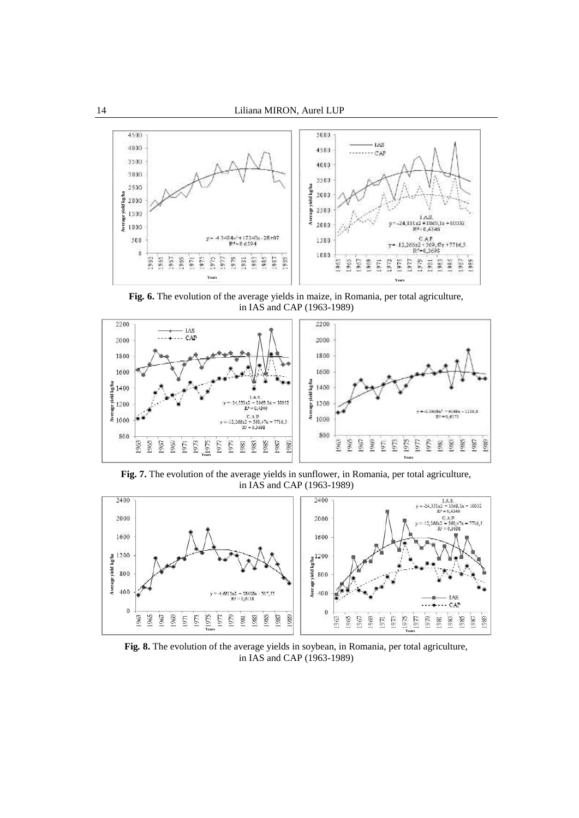

**Fig***.* **6.** The evolution of the average yields in maize, in Romania, per total agriculture, in IAS and CAP (1963-1989)



**Fig. 7.** The evolution of the average yields in sunflower, in Romania, per total agriculture, in IAS and CAP (1963-1989)



**Fig***.* **8.** The evolution of the average yields in soybean, in Romania, per total agriculture, in IAS and CAP (1963-1989)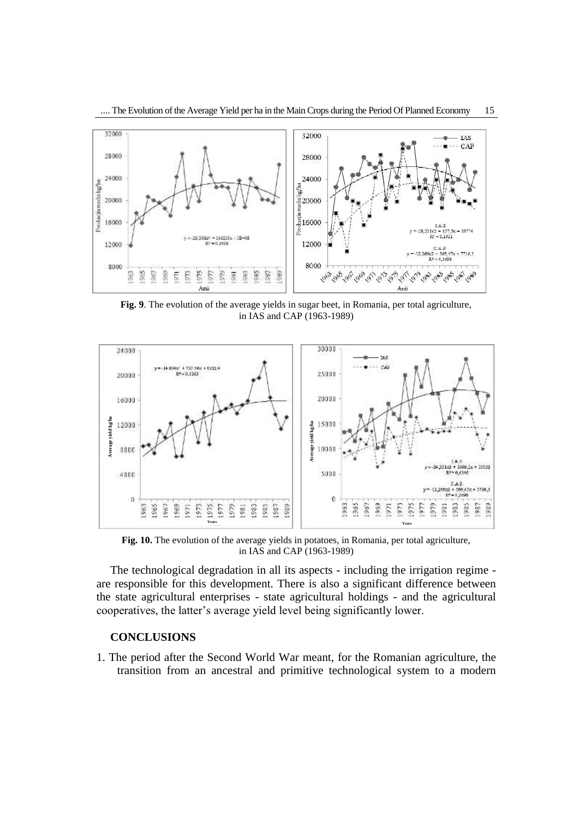

**Fig. 9**. The evolution of the average yields in sugar beet, in Romania, per total agriculture, in IAS and CAP (1963-1989)



**Fig. 10.** The evolution of the average yields in potatoes, in Romania, per total agriculture, in IAS and CAP (1963-1989)

The technological degradation in all its aspects - including the irrigation regime are responsible for this development. There is also a significant difference between the state agricultural enterprises - state agricultural holdings - and the agricultural cooperatives, the latter's average yield level being significantly lower.

# **CONCLUSIONS**

1. The period after the Second World War meant, for the Romanian agriculture, the transition from an ancestral and primitive technological system to a modern